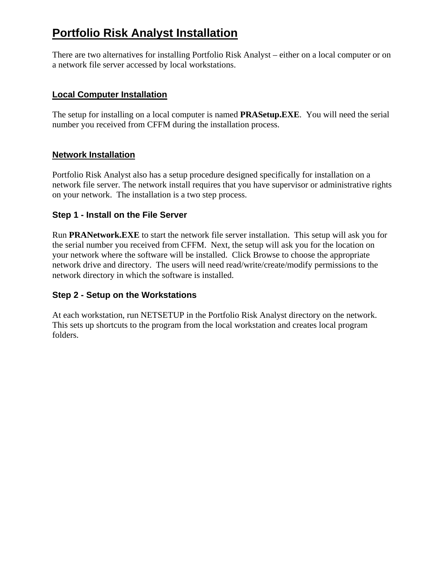# **Portfolio Risk Analyst Installation**

There are two alternatives for installing Portfolio Risk Analyst – either on a local computer or on a network file server accessed by local workstations.

#### **Local Computer Installation**

The setup for installing on a local computer is named **PRASetup.EXE**. You will need the serial number you received from CFFM during the installation process.

#### **Network Installation**

Portfolio Risk Analyst also has a setup procedure designed specifically for installation on a network file server. The network install requires that you have supervisor or administrative rights on your network. The installation is a two step process.

#### **Step 1 - Install on the File Server**

Run **PRANetwork.EXE** to start the network file server installation. This setup will ask you for the serial number you received from CFFM. Next, the setup will ask you for the location on your network where the software will be installed. Click Browse to choose the appropriate network drive and directory. The users will need read/write/create/modify permissions to the network directory in which the software is installed.

### **Step 2 - Setup on the Workstations**

At each workstation, run NETSETUP in the Portfolio Risk Analyst directory on the network. This sets up shortcuts to the program from the local workstation and creates local program folders.